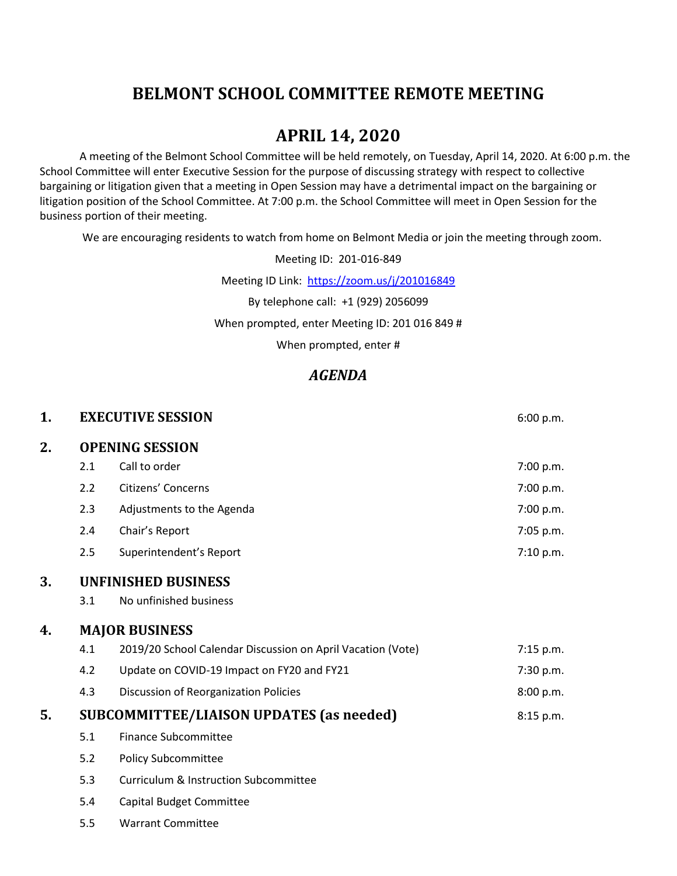# **BELMONT SCHOOL COMMITTEE REMOTE MEETING**

## **APRIL 14, 2020**

A meeting of the Belmont School Committee will be held remotely, on Tuesday, April 14, 2020. At 6:00 p.m. the School Committee will enter Executive Session for the purpose of discussing strategy with respect to collective bargaining or litigation given that a meeting in Open Session may have a detrimental impact on the bargaining or litigation position of the School Committee. At 7:00 p.m. the School Committee will meet in Open Session for the business portion of their meeting.

We are encouraging residents to watch from home on Belmont Media or join the meeting through zoom.

Meeting ID: 201-016-849

Meeting ID Link: <https://zoom.us/j/201016849>

By telephone call: +1 (929) 2056099

When prompted, enter Meeting ID: 201 016 849 #

When prompted, enter #

#### *AGENDA*

| 1. |                                                 | <b>EXECUTIVE SESSION</b>                                    | 6:00 p.m.   |  |
|----|-------------------------------------------------|-------------------------------------------------------------|-------------|--|
| 2. | <b>OPENING SESSION</b>                          |                                                             |             |  |
|    | 2.1                                             | Call to order                                               | 7:00 p.m.   |  |
|    | 2.2                                             | Citizens' Concerns                                          | 7:00 p.m.   |  |
|    | 2.3                                             | Adjustments to the Agenda                                   | 7:00 p.m.   |  |
|    | 2.4                                             | Chair's Report                                              | 7:05 p.m.   |  |
|    | 2.5                                             | Superintendent's Report                                     | 7:10 p.m.   |  |
| 3. |                                                 | <b>UNFINISHED BUSINESS</b>                                  |             |  |
|    | 3.1                                             | No unfinished business                                      |             |  |
| 4. | <b>MAJOR BUSINESS</b>                           |                                                             |             |  |
|    | 4.1                                             | 2019/20 School Calendar Discussion on April Vacation (Vote) | $7:15$ p.m. |  |
|    | 4.2                                             | Update on COVID-19 Impact on FY20 and FY21                  | 7:30 p.m.   |  |
|    | 4.3                                             | Discussion of Reorganization Policies                       | 8:00 p.m.   |  |
| 5. | <b>SUBCOMMITTEE/LIAISON UPDATES (as needed)</b> |                                                             | 8:15 p.m.   |  |
|    | 5.1                                             | <b>Finance Subcommittee</b>                                 |             |  |
|    | 5.2                                             | <b>Policy Subcommittee</b>                                  |             |  |
|    | 5.3                                             | <b>Curriculum &amp; Instruction Subcommittee</b>            |             |  |
|    | 5.4                                             | Capital Budget Committee                                    |             |  |
|    | 5.5                                             | <b>Warrant Committee</b>                                    |             |  |
|    |                                                 |                                                             |             |  |